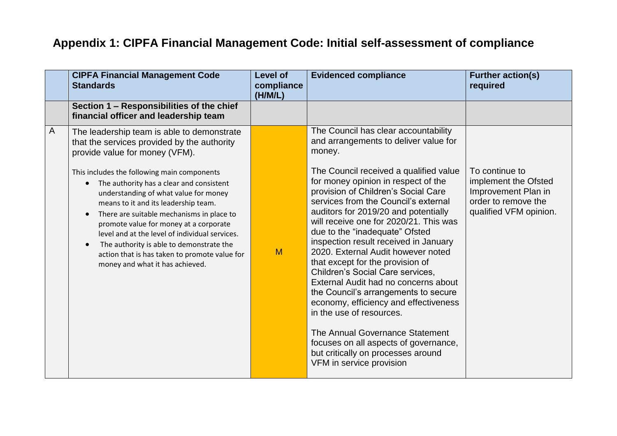## **Appendix 1: CIPFA Financial Management Code: Initial self-assessment of compliance**

|   | <b>CIPFA Financial Management Code</b><br><b>Standards</b>                                                                                                                                                                                                                                                                                                                                                                                                     | <b>Level of</b><br>compliance<br>(H/M/L) | <b>Evidenced compliance</b>                                                                                                                                                                                                                                                                                                                                                                                                                                                                                                                                                                                                                                                                                                                | <b>Further action(s)</b><br>required                                                         |
|---|----------------------------------------------------------------------------------------------------------------------------------------------------------------------------------------------------------------------------------------------------------------------------------------------------------------------------------------------------------------------------------------------------------------------------------------------------------------|------------------------------------------|--------------------------------------------------------------------------------------------------------------------------------------------------------------------------------------------------------------------------------------------------------------------------------------------------------------------------------------------------------------------------------------------------------------------------------------------------------------------------------------------------------------------------------------------------------------------------------------------------------------------------------------------------------------------------------------------------------------------------------------------|----------------------------------------------------------------------------------------------|
|   | Section 1 - Responsibilities of the chief<br>financial officer and leadership team                                                                                                                                                                                                                                                                                                                                                                             |                                          |                                                                                                                                                                                                                                                                                                                                                                                                                                                                                                                                                                                                                                                                                                                                            |                                                                                              |
| A | The leadership team is able to demonstrate<br>that the services provided by the authority<br>provide value for money (VFM).                                                                                                                                                                                                                                                                                                                                    |                                          | The Council has clear accountability<br>and arrangements to deliver value for<br>money.                                                                                                                                                                                                                                                                                                                                                                                                                                                                                                                                                                                                                                                    | To continue to                                                                               |
|   | This includes the following main components<br>The authority has a clear and consistent<br>$\bullet$<br>understanding of what value for money<br>means to it and its leadership team.<br>There are suitable mechanisms in place to<br>promote value for money at a corporate<br>level and at the level of individual services.<br>The authority is able to demonstrate the<br>action that is has taken to promote value for<br>money and what it has achieved. | M                                        | The Council received a qualified value<br>for money opinion in respect of the<br>provision of Children's Social Care<br>services from the Council's external<br>auditors for 2019/20 and potentially<br>will receive one for 2020/21. This was<br>due to the "inadequate" Ofsted<br>inspection result received in January<br>2020. External Audit however noted<br>that except for the provision of<br>Children's Social Care services,<br>External Audit had no concerns about<br>the Council's arrangements to secure<br>economy, efficiency and effectiveness<br>in the use of resources.<br>The Annual Governance Statement<br>focuses on all aspects of governance,<br>but critically on processes around<br>VFM in service provision | implement the Ofsted<br>Improvement Plan in<br>order to remove the<br>qualified VFM opinion. |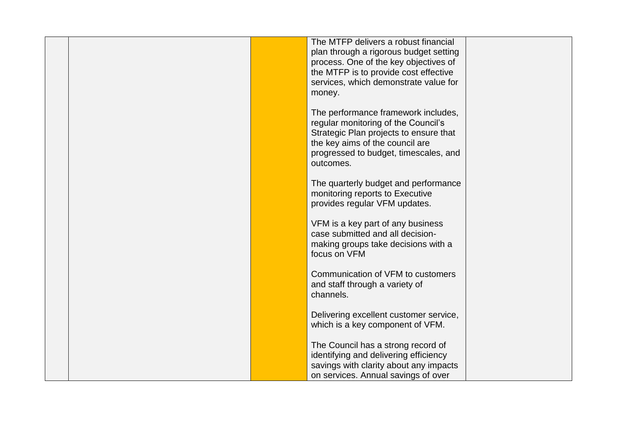|  | The MTFP delivers a robust financial<br>plan through a rigorous budget setting<br>process. One of the key objectives of<br>the MTFP is to provide cost effective<br>services, which demonstrate value for<br>money. |  |
|--|---------------------------------------------------------------------------------------------------------------------------------------------------------------------------------------------------------------------|--|
|  | The performance framework includes,<br>regular monitoring of the Council's<br>Strategic Plan projects to ensure that<br>the key aims of the council are<br>progressed to budget, timescales, and<br>outcomes.       |  |
|  | The quarterly budget and performance<br>monitoring reports to Executive<br>provides regular VFM updates.                                                                                                            |  |
|  | VFM is a key part of any business<br>case submitted and all decision-<br>making groups take decisions with a<br>focus on VFM                                                                                        |  |
|  | Communication of VFM to customers<br>and staff through a variety of<br>channels.                                                                                                                                    |  |
|  | Delivering excellent customer service,<br>which is a key component of VFM.                                                                                                                                          |  |
|  | The Council has a strong record of<br>identifying and delivering efficiency<br>savings with clarity about any impacts<br>on services. Annual savings of over                                                        |  |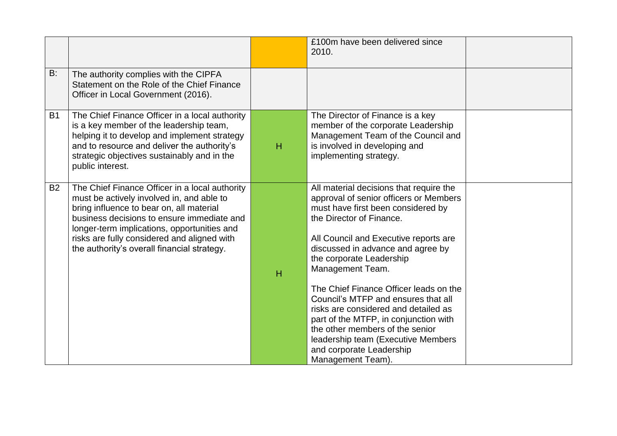|           |                                                                                                                                                                                                                                                                                                                                    |   | £100m have been delivered since<br>2010.                                                                                                                                                                                                                                                                                                                                                                                                                                                                                                                                      |  |
|-----------|------------------------------------------------------------------------------------------------------------------------------------------------------------------------------------------------------------------------------------------------------------------------------------------------------------------------------------|---|-------------------------------------------------------------------------------------------------------------------------------------------------------------------------------------------------------------------------------------------------------------------------------------------------------------------------------------------------------------------------------------------------------------------------------------------------------------------------------------------------------------------------------------------------------------------------------|--|
| B:        | The authority complies with the CIPFA<br>Statement on the Role of the Chief Finance<br>Officer in Local Government (2016).                                                                                                                                                                                                         |   |                                                                                                                                                                                                                                                                                                                                                                                                                                                                                                                                                                               |  |
| <b>B1</b> | The Chief Finance Officer in a local authority<br>is a key member of the leadership team,<br>helping it to develop and implement strategy<br>and to resource and deliver the authority's<br>strategic objectives sustainably and in the<br>public interest.                                                                        | H | The Director of Finance is a key<br>member of the corporate Leadership<br>Management Team of the Council and<br>is involved in developing and<br>implementing strategy.                                                                                                                                                                                                                                                                                                                                                                                                       |  |
| <b>B2</b> | The Chief Finance Officer in a local authority<br>must be actively involved in, and able to<br>bring influence to bear on, all material<br>business decisions to ensure immediate and<br>longer-term implications, opportunities and<br>risks are fully considered and aligned with<br>the authority's overall financial strategy. | H | All material decisions that require the<br>approval of senior officers or Members<br>must have first been considered by<br>the Director of Finance.<br>All Council and Executive reports are<br>discussed in advance and agree by<br>the corporate Leadership<br>Management Team.<br>The Chief Finance Officer leads on the<br>Council's MTFP and ensures that all<br>risks are considered and detailed as<br>part of the MTFP, in conjunction with<br>the other members of the senior<br>leadership team (Executive Members<br>and corporate Leadership<br>Management Team). |  |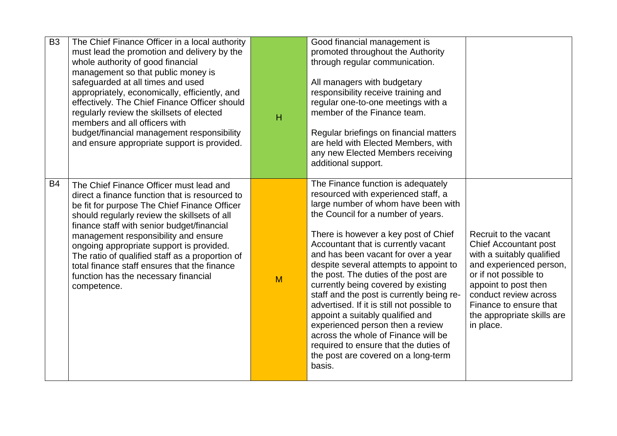| <b>B3</b> | The Chief Finance Officer in a local authority<br>must lead the promotion and delivery by the<br>whole authority of good financial<br>management so that public money is<br>safeguarded at all times and used<br>appropriately, economically, efficiently, and<br>effectively. The Chief Finance Officer should<br>regularly review the skillsets of elected<br>members and all officers with<br>budget/financial management responsibility<br>and ensure appropriate support is provided. | $\overline{H}$ | Good financial management is<br>promoted throughout the Authority<br>through regular communication.<br>All managers with budgetary<br>responsibility receive training and<br>regular one-to-one meetings with a<br>member of the Finance team.<br>Regular briefings on financial matters<br>are held with Elected Members, with<br>any new Elected Members receiving<br>additional support.                                                                                                                                                                                                                                                                                                               |                                                                                                                                                                                                                                                              |
|-----------|--------------------------------------------------------------------------------------------------------------------------------------------------------------------------------------------------------------------------------------------------------------------------------------------------------------------------------------------------------------------------------------------------------------------------------------------------------------------------------------------|----------------|-----------------------------------------------------------------------------------------------------------------------------------------------------------------------------------------------------------------------------------------------------------------------------------------------------------------------------------------------------------------------------------------------------------------------------------------------------------------------------------------------------------------------------------------------------------------------------------------------------------------------------------------------------------------------------------------------------------|--------------------------------------------------------------------------------------------------------------------------------------------------------------------------------------------------------------------------------------------------------------|
| <b>B4</b> | The Chief Finance Officer must lead and<br>direct a finance function that is resourced to<br>be fit for purpose The Chief Finance Officer<br>should regularly review the skillsets of all<br>finance staff with senior budget/financial<br>management responsibility and ensure<br>ongoing appropriate support is provided.<br>The ratio of qualified staff as a proportion of<br>total finance staff ensures that the finance<br>function has the necessary financial<br>competence.      | M              | The Finance function is adequately<br>resourced with experienced staff, a<br>large number of whom have been with<br>the Council for a number of years.<br>There is however a key post of Chief<br>Accountant that is currently vacant<br>and has been vacant for over a year<br>despite several attempts to appoint to<br>the post. The duties of the post are<br>currently being covered by existing<br>staff and the post is currently being re-<br>advertised. If it is still not possible to<br>appoint a suitably qualified and<br>experienced person then a review<br>across the whole of Finance will be<br>required to ensure that the duties of<br>the post are covered on a long-term<br>basis. | Recruit to the vacant<br><b>Chief Accountant post</b><br>with a suitably qualified<br>and experienced person,<br>or if not possible to<br>appoint to post then<br>conduct review across<br>Finance to ensure that<br>the appropriate skills are<br>in place. |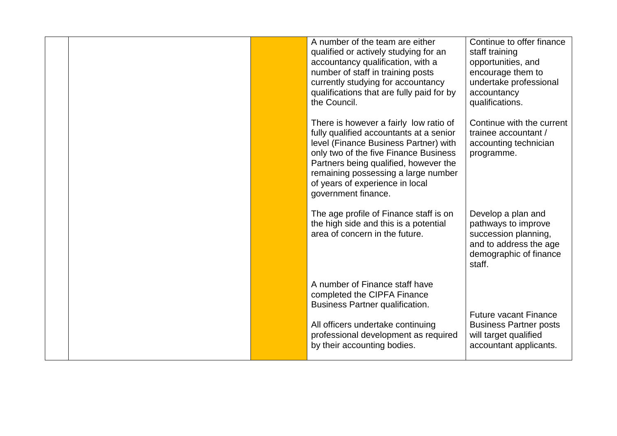| A number of the team are either<br>qualified or actively studying for an<br>accountancy qualification, with a<br>number of staff in training posts<br>currently studying for accountancy<br>qualifications that are fully paid for by<br>the Council.                                                         | Continue to offer finance<br>staff training<br>opportunities, and<br>encourage them to<br>undertake professional<br>accountancy<br>qualifications. |
|---------------------------------------------------------------------------------------------------------------------------------------------------------------------------------------------------------------------------------------------------------------------------------------------------------------|----------------------------------------------------------------------------------------------------------------------------------------------------|
| There is however a fairly low ratio of<br>fully qualified accountants at a senior<br>level (Finance Business Partner) with<br>only two of the five Finance Business<br>Partners being qualified, however the<br>remaining possessing a large number<br>of years of experience in local<br>government finance. | Continue with the current<br>trainee accountant /<br>accounting technician<br>programme.                                                           |
| The age profile of Finance staff is on<br>the high side and this is a potential<br>area of concern in the future.                                                                                                                                                                                             | Develop a plan and<br>pathways to improve<br>succession planning,<br>and to address the age<br>demographic of finance<br>staff.                    |
| A number of Finance staff have<br>completed the CIPFA Finance<br><b>Business Partner qualification.</b><br>All officers undertake continuing<br>professional development as required<br>by their accounting bodies.                                                                                           | <b>Future vacant Finance</b><br><b>Business Partner posts</b><br>will target qualified<br>accountant applicants.                                   |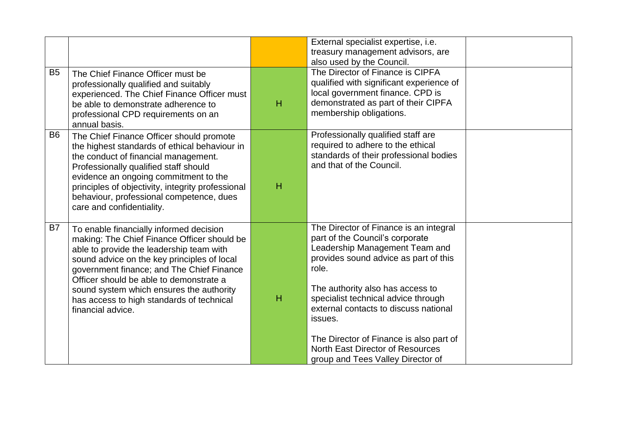| B <sub>5</sub> |                                                                                                                                                                                                                                                                                                                                                                                         |   | External specialist expertise, i.e.<br>treasury management advisors, are<br>also used by the Council.<br>The Director of Finance is CIPFA                                                                                                                                                                                                                                                                        |  |
|----------------|-----------------------------------------------------------------------------------------------------------------------------------------------------------------------------------------------------------------------------------------------------------------------------------------------------------------------------------------------------------------------------------------|---|------------------------------------------------------------------------------------------------------------------------------------------------------------------------------------------------------------------------------------------------------------------------------------------------------------------------------------------------------------------------------------------------------------------|--|
|                | The Chief Finance Officer must be<br>professionally qualified and suitably<br>experienced. The Chief Finance Officer must<br>be able to demonstrate adherence to<br>professional CPD requirements on an<br>annual basis.                                                                                                                                                                | н | qualified with significant experience of<br>local government finance. CPD is<br>demonstrated as part of their CIPFA<br>membership obligations.                                                                                                                                                                                                                                                                   |  |
| B <sub>6</sub> | The Chief Finance Officer should promote<br>the highest standards of ethical behaviour in<br>the conduct of financial management.<br>Professionally qualified staff should<br>evidence an ongoing commitment to the<br>principles of objectivity, integrity professional<br>behaviour, professional competence, dues<br>care and confidentiality.                                       | н | Professionally qualified staff are<br>required to adhere to the ethical<br>standards of their professional bodies<br>and that of the Council.                                                                                                                                                                                                                                                                    |  |
| <b>B7</b>      | To enable financially informed decision<br>making: The Chief Finance Officer should be<br>able to provide the leadership team with<br>sound advice on the key principles of local<br>government finance; and The Chief Finance<br>Officer should be able to demonstrate a<br>sound system which ensures the authority<br>has access to high standards of technical<br>financial advice. | H | The Director of Finance is an integral<br>part of the Council's corporate<br>Leadership Management Team and<br>provides sound advice as part of this<br>role.<br>The authority also has access to<br>specialist technical advice through<br>external contacts to discuss national<br>issues.<br>The Director of Finance is also part of<br>North East Director of Resources<br>group and Tees Valley Director of |  |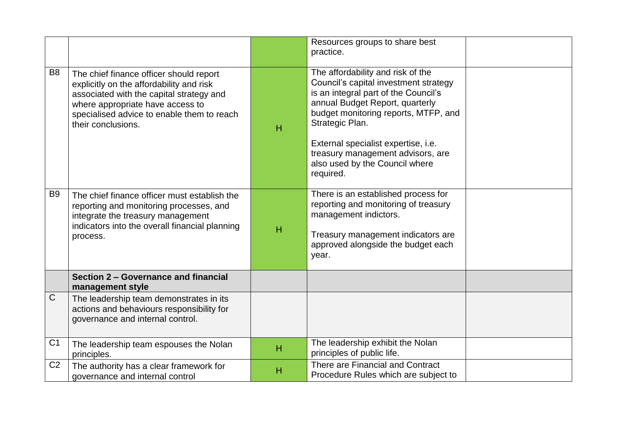|                |                                                                                                                                                                                                                                         |   | Resources groups to share best<br>practice.                                                                                                                                                                                                                                                                                                 |  |
|----------------|-----------------------------------------------------------------------------------------------------------------------------------------------------------------------------------------------------------------------------------------|---|---------------------------------------------------------------------------------------------------------------------------------------------------------------------------------------------------------------------------------------------------------------------------------------------------------------------------------------------|--|
| B <sub>8</sub> | The chief finance officer should report<br>explicitly on the affordability and risk<br>associated with the capital strategy and<br>where appropriate have access to<br>specialised advice to enable them to reach<br>their conclusions. | H | The affordability and risk of the<br>Council's capital investment strategy<br>is an integral part of the Council's<br>annual Budget Report, quarterly<br>budget monitoring reports, MTFP, and<br>Strategic Plan.<br>External specialist expertise, i.e.<br>treasury management advisors, are<br>also used by the Council where<br>required. |  |
| B <sub>9</sub> | The chief finance officer must establish the<br>reporting and monitoring processes, and<br>integrate the treasury management<br>indicators into the overall financial planning<br>process.                                              | H | There is an established process for<br>reporting and monitoring of treasury<br>management indictors.<br>Treasury management indicators are<br>approved alongside the budget each<br>year.                                                                                                                                                   |  |
|                | Section 2 – Governance and financial<br>management style                                                                                                                                                                                |   |                                                                                                                                                                                                                                                                                                                                             |  |
| $\mathsf{C}$   | The leadership team demonstrates in its<br>actions and behaviours responsibility for<br>governance and internal control.                                                                                                                |   |                                                                                                                                                                                                                                                                                                                                             |  |
| C <sub>1</sub> | The leadership team espouses the Nolan<br>principles.                                                                                                                                                                                   | H | The leadership exhibit the Nolan<br>principles of public life.                                                                                                                                                                                                                                                                              |  |
| C <sub>2</sub> | The authority has a clear framework for<br>governance and internal control                                                                                                                                                              | н | There are Financial and Contract<br>Procedure Rules which are subject to                                                                                                                                                                                                                                                                    |  |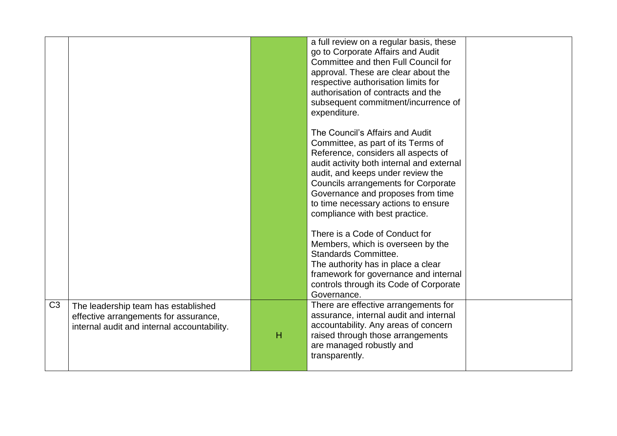|                |                                                                                                                             |   | a full review on a regular basis, these<br>go to Corporate Affairs and Audit<br>Committee and then Full Council for<br>approval. These are clear about the<br>respective authorisation limits for<br>authorisation of contracts and the<br>subsequent commitment/incurrence of<br>expenditure.                                                             |  |
|----------------|-----------------------------------------------------------------------------------------------------------------------------|---|------------------------------------------------------------------------------------------------------------------------------------------------------------------------------------------------------------------------------------------------------------------------------------------------------------------------------------------------------------|--|
|                |                                                                                                                             |   | The Council's Affairs and Audit<br>Committee, as part of its Terms of<br>Reference, considers all aspects of<br>audit activity both internal and external<br>audit, and keeps under review the<br><b>Councils arrangements for Corporate</b><br>Governance and proposes from time<br>to time necessary actions to ensure<br>compliance with best practice. |  |
|                |                                                                                                                             |   | There is a Code of Conduct for<br>Members, which is overseen by the<br><b>Standards Committee.</b><br>The authority has in place a clear<br>framework for governance and internal<br>controls through its Code of Corporate<br>Governance.                                                                                                                 |  |
| C <sub>3</sub> | The leadership team has established<br>effective arrangements for assurance,<br>internal audit and internal accountability. | H | There are effective arrangements for<br>assurance, internal audit and internal<br>accountability. Any areas of concern<br>raised through those arrangements<br>are managed robustly and<br>transparently.                                                                                                                                                  |  |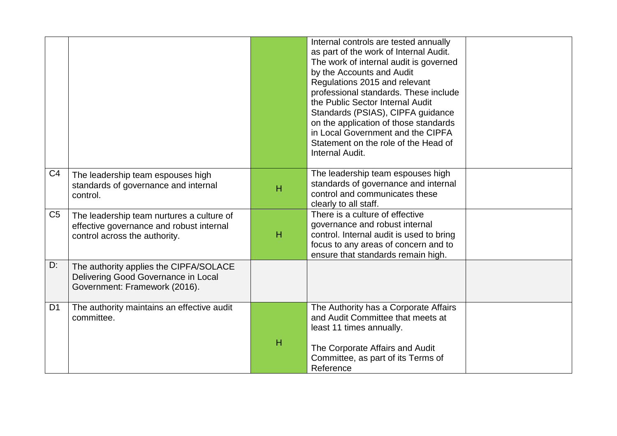|                |                                                                                                                        |   | Internal controls are tested annually<br>as part of the work of Internal Audit.<br>The work of internal audit is governed<br>by the Accounts and Audit<br>Regulations 2015 and relevant<br>professional standards. These include<br>the Public Sector Internal Audit<br>Standards (PSIAS), CIPFA guidance<br>on the application of those standards<br>in Local Government and the CIPFA<br>Statement on the role of the Head of<br>Internal Audit. |  |
|----------------|------------------------------------------------------------------------------------------------------------------------|---|----------------------------------------------------------------------------------------------------------------------------------------------------------------------------------------------------------------------------------------------------------------------------------------------------------------------------------------------------------------------------------------------------------------------------------------------------|--|
| C <sub>4</sub> | The leadership team espouses high<br>standards of governance and internal<br>control.                                  | H | The leadership team espouses high<br>standards of governance and internal<br>control and communicates these<br>clearly to all staff.                                                                                                                                                                                                                                                                                                               |  |
| C <sub>5</sub> | The leadership team nurtures a culture of<br>effective governance and robust internal<br>control across the authority. | Н | There is a culture of effective<br>governance and robust internal<br>control. Internal audit is used to bring<br>focus to any areas of concern and to<br>ensure that standards remain high.                                                                                                                                                                                                                                                        |  |
| D:             | The authority applies the CIPFA/SOLACE<br>Delivering Good Governance in Local<br>Government: Framework (2016).         |   |                                                                                                                                                                                                                                                                                                                                                                                                                                                    |  |
| D <sub>1</sub> | The authority maintains an effective audit<br>committee.                                                               |   | The Authority has a Corporate Affairs<br>and Audit Committee that meets at<br>least 11 times annually.                                                                                                                                                                                                                                                                                                                                             |  |
|                |                                                                                                                        | н | The Corporate Affairs and Audit<br>Committee, as part of its Terms of<br>Reference                                                                                                                                                                                                                                                                                                                                                                 |  |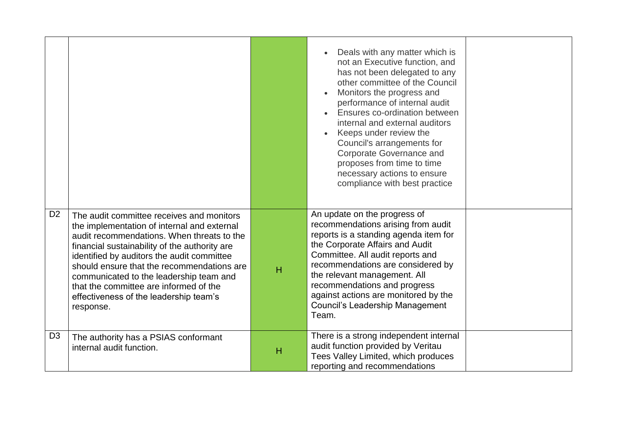|                |                                                                                                                                                                                                                                                                                                                                                                                                                                 |   | Deals with any matter which is<br>not an Executive function, and<br>has not been delegated to any<br>other committee of the Council<br>Monitors the progress and<br>performance of internal audit<br>Ensures co-ordination between<br>internal and external auditors<br>Keeps under review the<br>Council's arrangements for<br>Corporate Governance and<br>proposes from time to time<br>necessary actions to ensure<br>compliance with best practice |  |
|----------------|---------------------------------------------------------------------------------------------------------------------------------------------------------------------------------------------------------------------------------------------------------------------------------------------------------------------------------------------------------------------------------------------------------------------------------|---|--------------------------------------------------------------------------------------------------------------------------------------------------------------------------------------------------------------------------------------------------------------------------------------------------------------------------------------------------------------------------------------------------------------------------------------------------------|--|
| D <sub>2</sub> | The audit committee receives and monitors<br>the implementation of internal and external<br>audit recommendations. When threats to the<br>financial sustainability of the authority are<br>identified by auditors the audit committee<br>should ensure that the recommendations are<br>communicated to the leadership team and<br>that the committee are informed of the<br>effectiveness of the leadership team's<br>response. | H | An update on the progress of<br>recommendations arising from audit<br>reports is a standing agenda item for<br>the Corporate Affairs and Audit<br>Committee. All audit reports and<br>recommendations are considered by<br>the relevant management. All<br>recommendations and progress<br>against actions are monitored by the<br><b>Council's Leadership Management</b><br>Team.                                                                     |  |
| D <sub>3</sub> | The authority has a PSIAS conformant<br>internal audit function.                                                                                                                                                                                                                                                                                                                                                                | н | There is a strong independent internal<br>audit function provided by Veritau<br>Tees Valley Limited, which produces<br>reporting and recommendations                                                                                                                                                                                                                                                                                                   |  |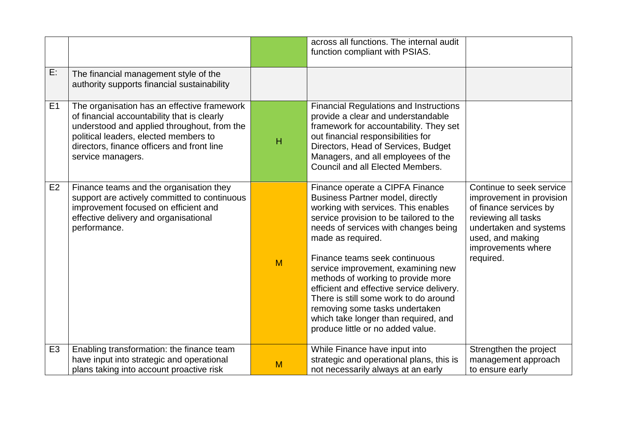|                |                                                                                                                                                                                                                                                       |   | across all functions. The internal audit<br>function compliant with PSIAS.                                                                                                                                                                                                                                                                                                                                                                                                                                                                  |                                                                                                                                                                                        |
|----------------|-------------------------------------------------------------------------------------------------------------------------------------------------------------------------------------------------------------------------------------------------------|---|---------------------------------------------------------------------------------------------------------------------------------------------------------------------------------------------------------------------------------------------------------------------------------------------------------------------------------------------------------------------------------------------------------------------------------------------------------------------------------------------------------------------------------------------|----------------------------------------------------------------------------------------------------------------------------------------------------------------------------------------|
| E:             | The financial management style of the<br>authority supports financial sustainability                                                                                                                                                                  |   |                                                                                                                                                                                                                                                                                                                                                                                                                                                                                                                                             |                                                                                                                                                                                        |
| E1             | The organisation has an effective framework<br>of financial accountability that is clearly<br>understood and applied throughout, from the<br>political leaders, elected members to<br>directors, finance officers and front line<br>service managers. | H | <b>Financial Regulations and Instructions</b><br>provide a clear and understandable<br>framework for accountability. They set<br>out financial responsibilities for<br>Directors, Head of Services, Budget<br>Managers, and all employees of the<br>Council and all Elected Members.                                                                                                                                                                                                                                                        |                                                                                                                                                                                        |
| E2             | Finance teams and the organisation they<br>support are actively committed to continuous<br>improvement focused on efficient and<br>effective delivery and organisational<br>performance.                                                              | M | Finance operate a CIPFA Finance<br><b>Business Partner model, directly</b><br>working with services. This enables<br>service provision to be tailored to the<br>needs of services with changes being<br>made as required.<br>Finance teams seek continuous<br>service improvement, examining new<br>methods of working to provide more<br>efficient and effective service delivery.<br>There is still some work to do around<br>removing some tasks undertaken<br>which take longer than required, and<br>produce little or no added value. | Continue to seek service<br>improvement in provision<br>of finance services by<br>reviewing all tasks<br>undertaken and systems<br>used, and making<br>improvements where<br>required. |
| E <sub>3</sub> | Enabling transformation: the finance team<br>have input into strategic and operational<br>plans taking into account proactive risk                                                                                                                    | M | While Finance have input into<br>strategic and operational plans, this is<br>not necessarily always at an early                                                                                                                                                                                                                                                                                                                                                                                                                             | Strengthen the project<br>management approach<br>to ensure early                                                                                                                       |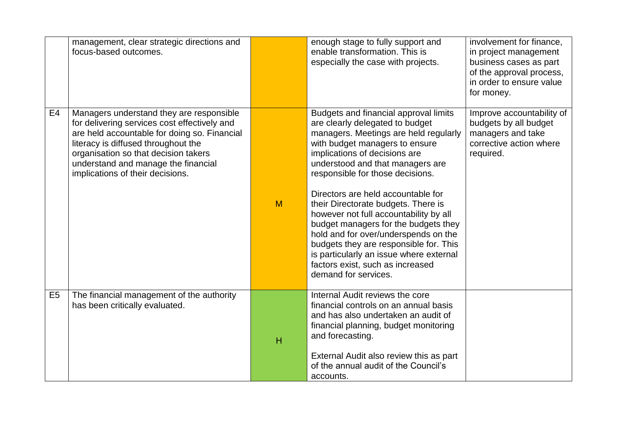|                | management, clear strategic directions and<br>focus-based outcomes.                                                                                                                                                                                                                                |   | enough stage to fully support and<br>enable transformation. This is<br>especially the case with projects.                                                                                                                                                                                                                                                                                                                                                                                                                                                                                                            | involvement for finance,<br>in project management<br>business cases as part<br>of the approval process,<br>in order to ensure value<br>for money. |
|----------------|----------------------------------------------------------------------------------------------------------------------------------------------------------------------------------------------------------------------------------------------------------------------------------------------------|---|----------------------------------------------------------------------------------------------------------------------------------------------------------------------------------------------------------------------------------------------------------------------------------------------------------------------------------------------------------------------------------------------------------------------------------------------------------------------------------------------------------------------------------------------------------------------------------------------------------------------|---------------------------------------------------------------------------------------------------------------------------------------------------|
| E <sub>4</sub> | Managers understand they are responsible<br>for delivering services cost effectively and<br>are held accountable for doing so. Financial<br>literacy is diffused throughout the<br>organisation so that decision takers<br>understand and manage the financial<br>implications of their decisions. | M | Budgets and financial approval limits<br>are clearly delegated to budget<br>managers. Meetings are held regularly<br>with budget managers to ensure<br>implications of decisions are<br>understood and that managers are<br>responsible for those decisions.<br>Directors are held accountable for<br>their Directorate budgets. There is<br>however not full accountability by all<br>budget managers for the budgets they<br>hold and for over/underspends on the<br>budgets they are responsible for. This<br>is particularly an issue where external<br>factors exist, such as increased<br>demand for services. | Improve accountability of<br>budgets by all budget<br>managers and take<br>corrective action where<br>required.                                   |
| E <sub>5</sub> | The financial management of the authority<br>has been critically evaluated.                                                                                                                                                                                                                        | H | Internal Audit reviews the core<br>financial controls on an annual basis<br>and has also undertaken an audit of<br>financial planning, budget monitoring<br>and forecasting.<br>External Audit also review this as part<br>of the annual audit of the Council's<br>accounts.                                                                                                                                                                                                                                                                                                                                         |                                                                                                                                                   |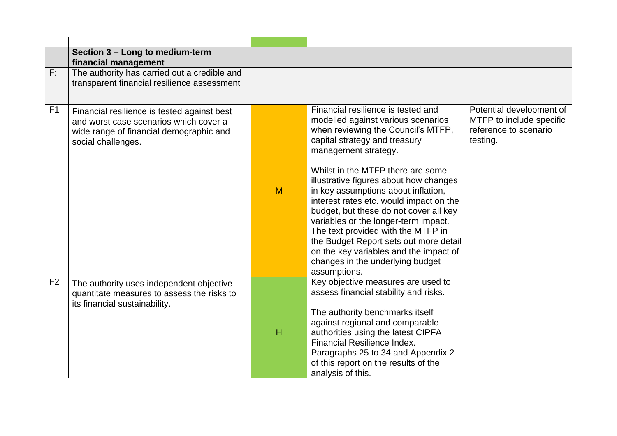|                | Section 3 - Long to medium-term<br>financial management                                                                                                |   |                                                                                                                                                                                                                                                                                                                                                                                                                                                                                                                                                                                                          |                                                                                           |
|----------------|--------------------------------------------------------------------------------------------------------------------------------------------------------|---|----------------------------------------------------------------------------------------------------------------------------------------------------------------------------------------------------------------------------------------------------------------------------------------------------------------------------------------------------------------------------------------------------------------------------------------------------------------------------------------------------------------------------------------------------------------------------------------------------------|-------------------------------------------------------------------------------------------|
| F:             | The authority has carried out a credible and<br>transparent financial resilience assessment                                                            |   |                                                                                                                                                                                                                                                                                                                                                                                                                                                                                                                                                                                                          |                                                                                           |
| F <sub>1</sub> | Financial resilience is tested against best<br>and worst case scenarios which cover a<br>wide range of financial demographic and<br>social challenges. | M | Financial resilience is tested and<br>modelled against various scenarios<br>when reviewing the Council's MTFP,<br>capital strategy and treasury<br>management strategy.<br>Whilst in the MTFP there are some<br>illustrative figures about how changes<br>in key assumptions about inflation,<br>interest rates etc. would impact on the<br>budget, but these do not cover all key<br>variables or the longer-term impact.<br>The text provided with the MTFP in<br>the Budget Report sets out more detail<br>on the key variables and the impact of<br>changes in the underlying budget<br>assumptions. | Potential development of<br>MTFP to include specific<br>reference to scenario<br>testing. |
| F <sub>2</sub> | The authority uses independent objective<br>quantitate measures to assess the risks to<br>its financial sustainability.                                | H | Key objective measures are used to<br>assess financial stability and risks.<br>The authority benchmarks itself<br>against regional and comparable<br>authorities using the latest CIPFA<br>Financial Resilience Index.<br>Paragraphs 25 to 34 and Appendix 2<br>of this report on the results of the<br>analysis of this.                                                                                                                                                                                                                                                                                |                                                                                           |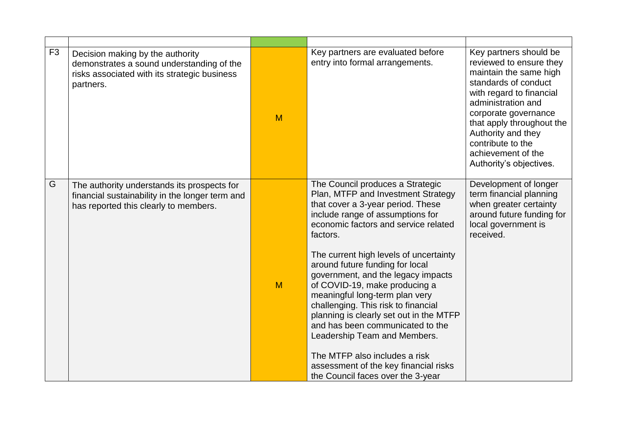| F <sub>3</sub> | Decision making by the authority<br>demonstrates a sound understanding of the<br>risks associated with its strategic business<br>partners. | M | Key partners are evaluated before<br>entry into formal arrangements.                                                                                                                                                                                                                                                                                                                                                                                                                                                                                                                                                                                           | Key partners should be<br>reviewed to ensure they<br>maintain the same high<br>standards of conduct<br>with regard to financial<br>administration and<br>corporate governance<br>that apply throughout the<br>Authority and they<br>contribute to the<br>achievement of the<br>Authority's objectives. |
|----------------|--------------------------------------------------------------------------------------------------------------------------------------------|---|----------------------------------------------------------------------------------------------------------------------------------------------------------------------------------------------------------------------------------------------------------------------------------------------------------------------------------------------------------------------------------------------------------------------------------------------------------------------------------------------------------------------------------------------------------------------------------------------------------------------------------------------------------------|--------------------------------------------------------------------------------------------------------------------------------------------------------------------------------------------------------------------------------------------------------------------------------------------------------|
| G              | The authority understands its prospects for<br>financial sustainability in the longer term and<br>has reported this clearly to members.    | M | The Council produces a Strategic<br>Plan, MTFP and Investment Strategy<br>that cover a 3-year period. These<br>include range of assumptions for<br>economic factors and service related<br>factors.<br>The current high levels of uncertainty<br>around future funding for local<br>government, and the legacy impacts<br>of COVID-19, make producing a<br>meaningful long-term plan very<br>challenging. This risk to financial<br>planning is clearly set out in the MTFP<br>and has been communicated to the<br>Leadership Team and Members.<br>The MTFP also includes a risk<br>assessment of the key financial risks<br>the Council faces over the 3-year | Development of longer<br>term financial planning<br>when greater certainty<br>around future funding for<br>local government is<br>received.                                                                                                                                                            |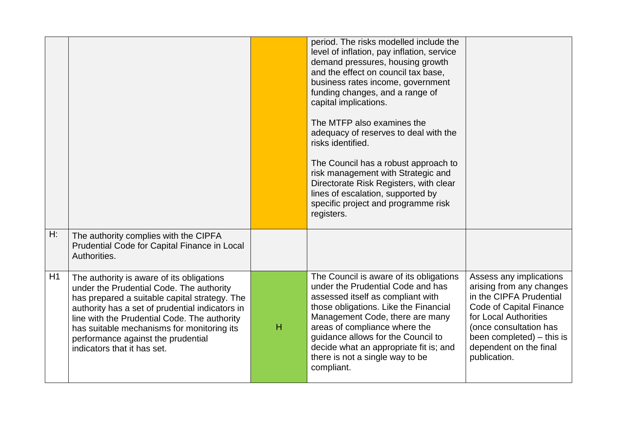|    |                                                                                                                                                                                                                                                                                                                                                              |   | period. The risks modelled include the<br>level of inflation, pay inflation, service<br>demand pressures, housing growth<br>and the effect on council tax base,<br>business rates income, government<br>funding changes, and a range of<br>capital implications.<br>The MTFP also examines the<br>adequacy of reserves to deal with the<br>risks identified.<br>The Council has a robust approach to<br>risk management with Strategic and<br>Directorate Risk Registers, with clear<br>lines of escalation, supported by<br>specific project and programme risk<br>registers. |                                                                                                                                                                                                                                            |
|----|--------------------------------------------------------------------------------------------------------------------------------------------------------------------------------------------------------------------------------------------------------------------------------------------------------------------------------------------------------------|---|--------------------------------------------------------------------------------------------------------------------------------------------------------------------------------------------------------------------------------------------------------------------------------------------------------------------------------------------------------------------------------------------------------------------------------------------------------------------------------------------------------------------------------------------------------------------------------|--------------------------------------------------------------------------------------------------------------------------------------------------------------------------------------------------------------------------------------------|
| H: | The authority complies with the CIPFA<br>Prudential Code for Capital Finance in Local<br>Authorities.                                                                                                                                                                                                                                                        |   |                                                                                                                                                                                                                                                                                                                                                                                                                                                                                                                                                                                |                                                                                                                                                                                                                                            |
| H1 | The authority is aware of its obligations<br>under the Prudential Code. The authority<br>has prepared a suitable capital strategy. The<br>authority has a set of prudential indicators in<br>line with the Prudential Code. The authority<br>has suitable mechanisms for monitoring its<br>performance against the prudential<br>indicators that it has set. | H | The Council is aware of its obligations<br>under the Prudential Code and has<br>assessed itself as compliant with<br>those obligations. Like the Financial<br>Management Code, there are many<br>areas of compliance where the<br>guidance allows for the Council to<br>decide what an appropriate fit is; and<br>there is not a single way to be<br>compliant.                                                                                                                                                                                                                | Assess any implications<br>arising from any changes<br>in the CIPFA Prudential<br><b>Code of Capital Finance</b><br>for Local Authorities<br>(once consultation has<br>been completed) - this is<br>dependent on the final<br>publication. |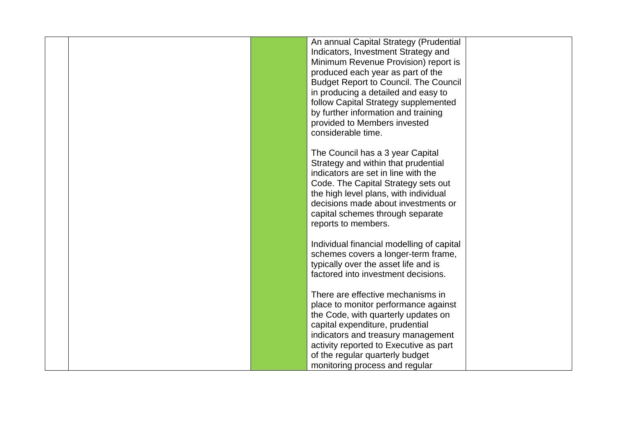|  | An annual Capital Strategy (Prudential       |  |
|--|----------------------------------------------|--|
|  |                                              |  |
|  | Indicators, Investment Strategy and          |  |
|  | Minimum Revenue Provision) report is         |  |
|  | produced each year as part of the            |  |
|  | <b>Budget Report to Council. The Council</b> |  |
|  | in producing a detailed and easy to          |  |
|  | follow Capital Strategy supplemented         |  |
|  | by further information and training          |  |
|  | provided to Members invested                 |  |
|  | considerable time.                           |  |
|  |                                              |  |
|  |                                              |  |
|  | The Council has a 3 year Capital             |  |
|  | Strategy and within that prudential          |  |
|  | indicators are set in line with the          |  |
|  | Code. The Capital Strategy sets out          |  |
|  | the high level plans, with individual        |  |
|  | decisions made about investments or          |  |
|  | capital schemes through separate             |  |
|  | reports to members.                          |  |
|  |                                              |  |
|  | Individual financial modelling of capital    |  |
|  | schemes covers a longer-term frame,          |  |
|  | typically over the asset life and is         |  |
|  | factored into investment decisions.          |  |
|  |                                              |  |
|  | There are effective mechanisms in            |  |
|  |                                              |  |
|  | place to monitor performance against         |  |
|  | the Code, with quarterly updates on          |  |
|  | capital expenditure, prudential              |  |
|  | indicators and treasury management           |  |
|  | activity reported to Executive as part       |  |
|  | of the regular quarterly budget              |  |
|  | monitoring process and regular               |  |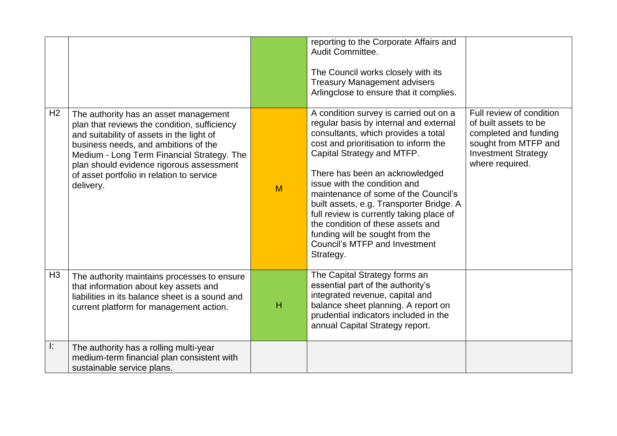|                |                                                                                                                                                                                                                                                                                                                                |   | reporting to the Corporate Affairs and<br>Audit Committee.<br>The Council works closely with its<br><b>Treasury Management advisers</b><br>Arlingclose to ensure that it complies.                                                                                                                                                                                                                                                                                                                                            |                                                                                                                                                     |
|----------------|--------------------------------------------------------------------------------------------------------------------------------------------------------------------------------------------------------------------------------------------------------------------------------------------------------------------------------|---|-------------------------------------------------------------------------------------------------------------------------------------------------------------------------------------------------------------------------------------------------------------------------------------------------------------------------------------------------------------------------------------------------------------------------------------------------------------------------------------------------------------------------------|-----------------------------------------------------------------------------------------------------------------------------------------------------|
| H <sub>2</sub> | The authority has an asset management<br>plan that reviews the condition, sufficiency<br>and suitability of assets in the light of<br>business needs, and ambitions of the<br>Medium - Long Term Financial Strategy. The<br>plan should evidence rigorous assessment<br>of asset portfolio in relation to service<br>delivery. | M | A condition survey is carried out on a<br>regular basis by internal and external<br>consultants, which provides a total<br>cost and prioritisation to inform the<br>Capital Strategy and MTFP.<br>There has been an acknowledged<br>issue with the condition and<br>maintenance of some of the Council's<br>built assets, e.g. Transporter Bridge. A<br>full review is currently taking place of<br>the condition of these assets and<br>funding will be sought from the<br><b>Council's MTFP and Investment</b><br>Strategy. | Full review of condition<br>of built assets to be<br>completed and funding<br>sought from MTFP and<br><b>Investment Strategy</b><br>where required. |
| H <sub>3</sub> | The authority maintains processes to ensure<br>that information about key assets and<br>liabilities in its balance sheet is a sound and<br>current platform for management action.                                                                                                                                             | H | The Capital Strategy forms an<br>essential part of the authority's<br>integrated revenue, capital and<br>balance sheet planning. A report on<br>prudential indicators included in the<br>annual Capital Strategy report.                                                                                                                                                                                                                                                                                                      |                                                                                                                                                     |
| Ŀ.             | The authority has a rolling multi-year<br>medium-term financial plan consistent with<br>sustainable service plans.                                                                                                                                                                                                             |   |                                                                                                                                                                                                                                                                                                                                                                                                                                                                                                                               |                                                                                                                                                     |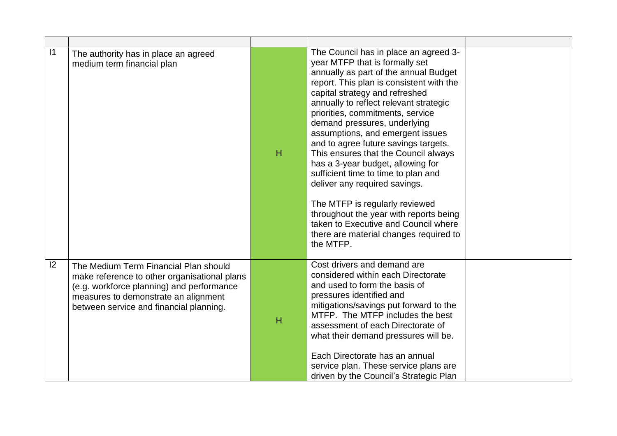| 1 | The authority has in place an agreed<br>medium term financial plan                                                                                                                                                    | H | The Council has in place an agreed 3-<br>year MTFP that is formally set<br>annually as part of the annual Budget<br>report. This plan is consistent with the<br>capital strategy and refreshed<br>annually to reflect relevant strategic<br>priorities, commitments, service<br>demand pressures, underlying<br>assumptions, and emergent issues<br>and to agree future savings targets.<br>This ensures that the Council always<br>has a 3-year budget, allowing for<br>sufficient time to time to plan and<br>deliver any required savings.<br>The MTFP is regularly reviewed<br>throughout the year with reports being<br>taken to Executive and Council where<br>there are material changes required to<br>the MTFP. |  |
|---|-----------------------------------------------------------------------------------------------------------------------------------------------------------------------------------------------------------------------|---|--------------------------------------------------------------------------------------------------------------------------------------------------------------------------------------------------------------------------------------------------------------------------------------------------------------------------------------------------------------------------------------------------------------------------------------------------------------------------------------------------------------------------------------------------------------------------------------------------------------------------------------------------------------------------------------------------------------------------|--|
| 2 | The Medium Term Financial Plan should<br>make reference to other organisational plans<br>(e.g. workforce planning) and performance<br>measures to demonstrate an alignment<br>between service and financial planning. | H | Cost drivers and demand are<br>considered within each Directorate<br>and used to form the basis of<br>pressures identified and<br>mitigations/savings put forward to the<br>MTFP. The MTFP includes the best<br>assessment of each Directorate of<br>what their demand pressures will be.<br>Each Directorate has an annual<br>service plan. These service plans are<br>driven by the Council's Strategic Plan                                                                                                                                                                                                                                                                                                           |  |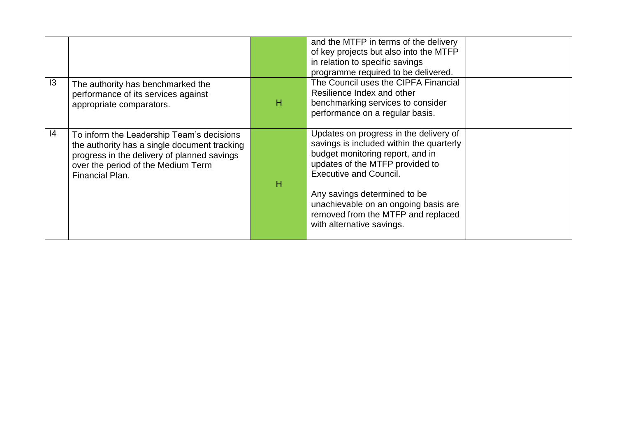|                |                                                                                                                                                                                                   |   | and the MTFP in terms of the delivery<br>of key projects but also into the MTFP<br>in relation to specific savings<br>programme required to be delivered.                                                                                                                                                                             |  |
|----------------|---------------------------------------------------------------------------------------------------------------------------------------------------------------------------------------------------|---|---------------------------------------------------------------------------------------------------------------------------------------------------------------------------------------------------------------------------------------------------------------------------------------------------------------------------------------|--|
| $\overline{3}$ | The authority has benchmarked the<br>performance of its services against<br>appropriate comparators.                                                                                              | н | The Council uses the CIPFA Financial<br>Resilience Index and other<br>benchmarking services to consider<br>performance on a regular basis.                                                                                                                                                                                            |  |
| 4              | To inform the Leadership Team's decisions<br>the authority has a single document tracking<br>progress in the delivery of planned savings<br>over the period of the Medium Term<br>Financial Plan. | н | Updates on progress in the delivery of<br>savings is included within the quarterly<br>budget monitoring report, and in<br>updates of the MTFP provided to<br><b>Executive and Council.</b><br>Any savings determined to be<br>unachievable on an ongoing basis are<br>removed from the MTFP and replaced<br>with alternative savings. |  |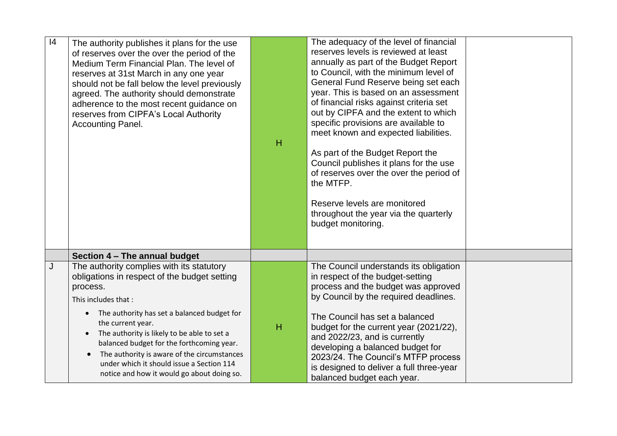| 4 | The authority publishes it plans for the use<br>of reserves over the over the period of the<br>Medium Term Financial Plan. The level of<br>reserves at 31st March in any one year<br>should not be fall below the level previously<br>agreed. The authority should demonstrate<br>adherence to the most recent guidance on<br>reserves from CIPFA's Local Authority<br><b>Accounting Panel.</b>                                                     | $\overline{H}$ | The adequacy of the level of financial<br>reserves levels is reviewed at least<br>annually as part of the Budget Report<br>to Council, with the minimum level of<br>General Fund Reserve being set each<br>year. This is based on an assessment<br>of financial risks against criteria set<br>out by CIPFA and the extent to which<br>specific provisions are available to<br>meet known and expected liabilities.<br>As part of the Budget Report the<br>Council publishes it plans for the use<br>of reserves over the over the period of<br>the MTFP.<br>Reserve levels are monitored<br>throughout the year via the quarterly<br>budget monitoring. |  |
|---|-----------------------------------------------------------------------------------------------------------------------------------------------------------------------------------------------------------------------------------------------------------------------------------------------------------------------------------------------------------------------------------------------------------------------------------------------------|----------------|---------------------------------------------------------------------------------------------------------------------------------------------------------------------------------------------------------------------------------------------------------------------------------------------------------------------------------------------------------------------------------------------------------------------------------------------------------------------------------------------------------------------------------------------------------------------------------------------------------------------------------------------------------|--|
|   | Section 4 - The annual budget                                                                                                                                                                                                                                                                                                                                                                                                                       |                |                                                                                                                                                                                                                                                                                                                                                                                                                                                                                                                                                                                                                                                         |  |
| J | The authority complies with its statutory<br>obligations in respect of the budget setting<br>process.<br>This includes that:<br>The authority has set a balanced budget for<br>the current year.<br>The authority is likely to be able to set a<br>balanced budget for the forthcoming year.<br>The authority is aware of the circumstances<br>$\bullet$<br>under which it should issue a Section 114<br>notice and how it would go about doing so. | H              | The Council understands its obligation<br>in respect of the budget-setting<br>process and the budget was approved<br>by Council by the required deadlines.<br>The Council has set a balanced<br>budget for the current year (2021/22),<br>and 2022/23, and is currently<br>developing a balanced budget for<br>2023/24. The Council's MTFP process<br>is designed to deliver a full three-year<br>balanced budget each year.                                                                                                                                                                                                                            |  |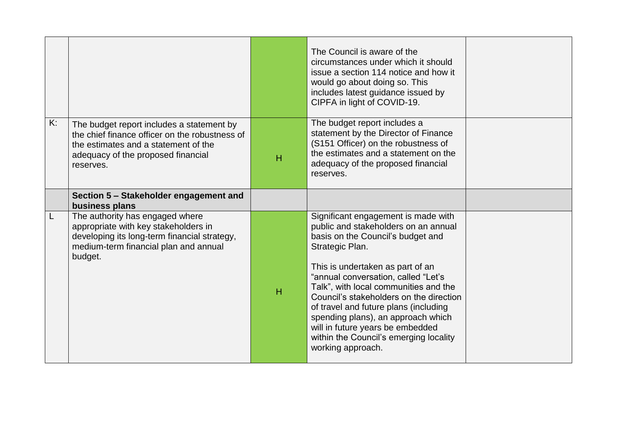|    |                                                                                                                                                                                        |   | The Council is aware of the<br>circumstances under which it should<br>issue a section 114 notice and how it<br>would go about doing so. This<br>includes latest guidance issued by<br>CIPFA in light of COVID-19.                                                                                                                                                                                                                                                                    |  |
|----|----------------------------------------------------------------------------------------------------------------------------------------------------------------------------------------|---|--------------------------------------------------------------------------------------------------------------------------------------------------------------------------------------------------------------------------------------------------------------------------------------------------------------------------------------------------------------------------------------------------------------------------------------------------------------------------------------|--|
| K: | The budget report includes a statement by<br>the chief finance officer on the robustness of<br>the estimates and a statement of the<br>adequacy of the proposed financial<br>reserves. | H | The budget report includes a<br>statement by the Director of Finance<br>(S151 Officer) on the robustness of<br>the estimates and a statement on the<br>adequacy of the proposed financial<br>reserves.                                                                                                                                                                                                                                                                               |  |
|    | Section 5 - Stakeholder engagement and<br>business plans                                                                                                                               |   |                                                                                                                                                                                                                                                                                                                                                                                                                                                                                      |  |
|    | The authority has engaged where<br>appropriate with key stakeholders in<br>developing its long-term financial strategy,<br>medium-term financial plan and annual<br>budget.            | H | Significant engagement is made with<br>public and stakeholders on an annual<br>basis on the Council's budget and<br>Strategic Plan.<br>This is undertaken as part of an<br>"annual conversation, called "Let's<br>Talk", with local communities and the<br>Council's stakeholders on the direction<br>of travel and future plans (including<br>spending plans), an approach which<br>will in future years be embedded<br>within the Council's emerging locality<br>working approach. |  |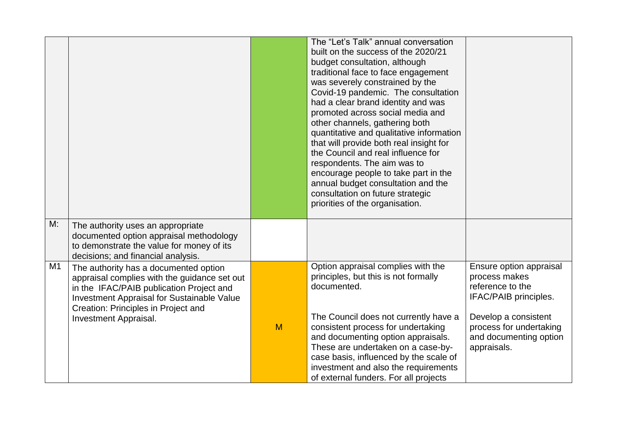|    |                                                                                                                                                                                                                                                        |   | The "Let's Talk" annual conversation<br>built on the success of the 2020/21<br>budget consultation, although<br>traditional face to face engagement<br>was severely constrained by the<br>Covid-19 pandemic. The consultation<br>had a clear brand identity and was<br>promoted across social media and<br>other channels, gathering both<br>quantitative and qualitative information<br>that will provide both real insight for<br>the Council and real influence for<br>respondents. The aim was to<br>encourage people to take part in the<br>annual budget consultation and the<br>consultation on future strategic<br>priorities of the organisation. |                                                                                                                                                                                   |
|----|--------------------------------------------------------------------------------------------------------------------------------------------------------------------------------------------------------------------------------------------------------|---|------------------------------------------------------------------------------------------------------------------------------------------------------------------------------------------------------------------------------------------------------------------------------------------------------------------------------------------------------------------------------------------------------------------------------------------------------------------------------------------------------------------------------------------------------------------------------------------------------------------------------------------------------------|-----------------------------------------------------------------------------------------------------------------------------------------------------------------------------------|
| M: | The authority uses an appropriate<br>documented option appraisal methodology<br>to demonstrate the value for money of its<br>decisions; and financial analysis.                                                                                        |   |                                                                                                                                                                                                                                                                                                                                                                                                                                                                                                                                                                                                                                                            |                                                                                                                                                                                   |
| M1 | The authority has a documented option<br>appraisal complies with the guidance set out<br>in the IFAC/PAIB publication Project and<br><b>Investment Appraisal for Sustainable Value</b><br>Creation: Principles in Project and<br>Investment Appraisal. | M | Option appraisal complies with the<br>principles, but this is not formally<br>documented.<br>The Council does not currently have a<br>consistent process for undertaking<br>and documenting option appraisals.<br>These are undertaken on a case-by-<br>case basis, influenced by the scale of<br>investment and also the requirements<br>of external funders. For all projects                                                                                                                                                                                                                                                                            | Ensure option appraisal<br>process makes<br>reference to the<br>IFAC/PAIB principles.<br>Develop a consistent<br>process for undertaking<br>and documenting option<br>appraisals. |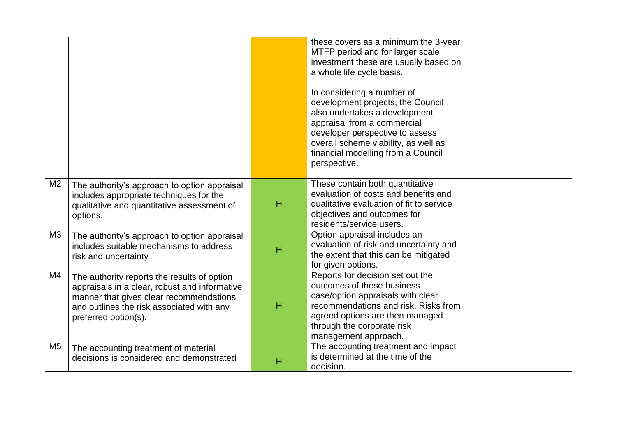|                |                                                                                                                                                                                                              |   | these covers as a minimum the 3-year<br>MTFP period and for larger scale<br>investment these are usually based on<br>a whole life cycle basis.<br>In considering a number of<br>development projects, the Council<br>also undertakes a development<br>appraisal from a commercial<br>developer perspective to assess<br>overall scheme viability, as well as<br>financial modelling from a Council<br>perspective. |  |
|----------------|--------------------------------------------------------------------------------------------------------------------------------------------------------------------------------------------------------------|---|--------------------------------------------------------------------------------------------------------------------------------------------------------------------------------------------------------------------------------------------------------------------------------------------------------------------------------------------------------------------------------------------------------------------|--|
| M <sub>2</sub> | The authority's approach to option appraisal<br>includes appropriate techniques for the<br>qualitative and quantitative assessment of<br>options.                                                            | H | These contain both quantitative<br>evaluation of costs and benefits and<br>qualitative evaluation of fit to service<br>objectives and outcomes for<br>residents/service users.                                                                                                                                                                                                                                     |  |
| M3             | The authority's approach to option appraisal<br>includes suitable mechanisms to address<br>risk and uncertainty                                                                                              | H | Option appraisal includes an<br>evaluation of risk and uncertainty and<br>the extent that this can be mitigated<br>for given options.                                                                                                                                                                                                                                                                              |  |
| M4             | The authority reports the results of option<br>appraisals in a clear, robust and informative<br>manner that gives clear recommendations<br>and outlines the risk associated with any<br>preferred option(s). | H | Reports for decision set out the<br>outcomes of these business<br>case/option appraisals with clear<br>recommendations and risk. Risks from<br>agreed options are then managed<br>through the corporate risk<br>management approach.                                                                                                                                                                               |  |
| M <sub>5</sub> | The accounting treatment of material<br>decisions is considered and demonstrated                                                                                                                             | н | The accounting treatment and impact<br>is determined at the time of the<br>decision.                                                                                                                                                                                                                                                                                                                               |  |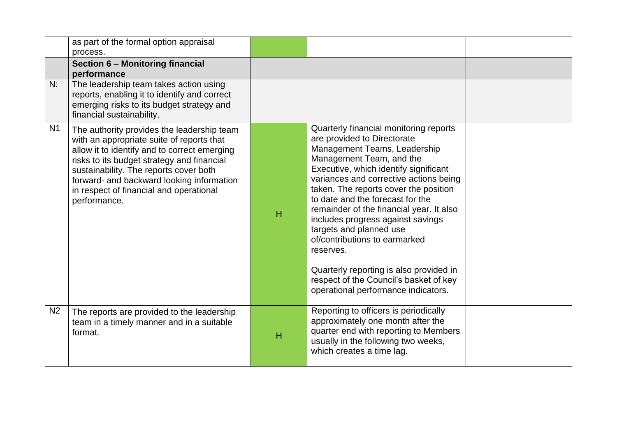|                | as part of the formal option appraisal<br>process.                                                                                                                                                                                                                                                                                      |   |                                                                                                                                                                                                                                                                                                                                                                                                                                                                                                                                                                                         |  |
|----------------|-----------------------------------------------------------------------------------------------------------------------------------------------------------------------------------------------------------------------------------------------------------------------------------------------------------------------------------------|---|-----------------------------------------------------------------------------------------------------------------------------------------------------------------------------------------------------------------------------------------------------------------------------------------------------------------------------------------------------------------------------------------------------------------------------------------------------------------------------------------------------------------------------------------------------------------------------------------|--|
|                | Section 6 - Monitoring financial<br>performance                                                                                                                                                                                                                                                                                         |   |                                                                                                                                                                                                                                                                                                                                                                                                                                                                                                                                                                                         |  |
| N:             | The leadership team takes action using<br>reports, enabling it to identify and correct<br>emerging risks to its budget strategy and<br>financial sustainability.                                                                                                                                                                        |   |                                                                                                                                                                                                                                                                                                                                                                                                                                                                                                                                                                                         |  |
| N <sub>1</sub> | The authority provides the leadership team<br>with an appropriate suite of reports that<br>allow it to identify and to correct emerging<br>risks to its budget strategy and financial<br>sustainability. The reports cover both<br>forward- and backward looking information<br>in respect of financial and operational<br>performance. | H | Quarterly financial monitoring reports<br>are provided to Directorate<br>Management Teams, Leadership<br>Management Team, and the<br>Executive, which identify significant<br>variances and corrective actions being<br>taken. The reports cover the position<br>to date and the forecast for the<br>remainder of the financial year. It also<br>includes progress against savings<br>targets and planned use<br>of/contributions to earmarked<br>reserves.<br>Quarterly reporting is also provided in<br>respect of the Council's basket of key<br>operational performance indicators. |  |
| N <sub>2</sub> | The reports are provided to the leadership<br>team in a timely manner and in a suitable<br>format.                                                                                                                                                                                                                                      | H | Reporting to officers is periodically<br>approximately one month after the<br>quarter end with reporting to Members<br>usually in the following two weeks,<br>which creates a time lag.                                                                                                                                                                                                                                                                                                                                                                                                 |  |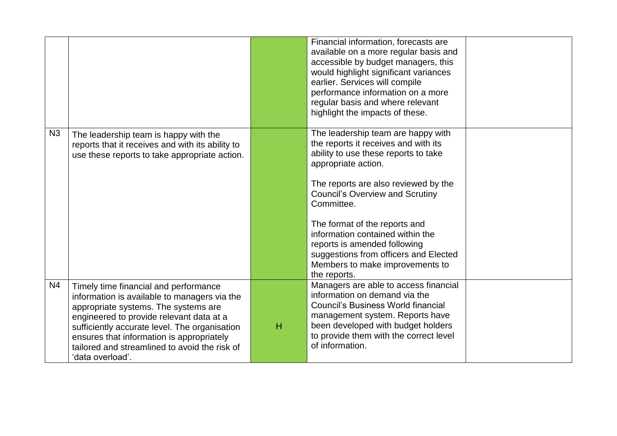|                |                                                                                                                                                                                                                                                                                                                                              |   | Financial information, forecasts are<br>available on a more regular basis and<br>accessible by budget managers, this<br>would highlight significant variances<br>earlier. Services will compile<br>performance information on a more<br>regular basis and where relevant<br>highlight the impacts of these.                                                                                                                                |  |
|----------------|----------------------------------------------------------------------------------------------------------------------------------------------------------------------------------------------------------------------------------------------------------------------------------------------------------------------------------------------|---|--------------------------------------------------------------------------------------------------------------------------------------------------------------------------------------------------------------------------------------------------------------------------------------------------------------------------------------------------------------------------------------------------------------------------------------------|--|
| N <sub>3</sub> | The leadership team is happy with the<br>reports that it receives and with its ability to<br>use these reports to take appropriate action.                                                                                                                                                                                                   |   | The leadership team are happy with<br>the reports it receives and with its<br>ability to use these reports to take<br>appropriate action.<br>The reports are also reviewed by the<br><b>Council's Overview and Scrutiny</b><br>Committee.<br>The format of the reports and<br>information contained within the<br>reports is amended following<br>suggestions from officers and Elected<br>Members to make improvements to<br>the reports. |  |
| N <sub>4</sub> | Timely time financial and performance<br>information is available to managers via the<br>appropriate systems. The systems are<br>engineered to provide relevant data at a<br>sufficiently accurate level. The organisation<br>ensures that information is appropriately<br>tailored and streamlined to avoid the risk of<br>'data overload'. | H | Managers are able to access financial<br>information on demand via the<br><b>Council's Business World financial</b><br>management system. Reports have<br>been developed with budget holders<br>to provide them with the correct level<br>of information.                                                                                                                                                                                  |  |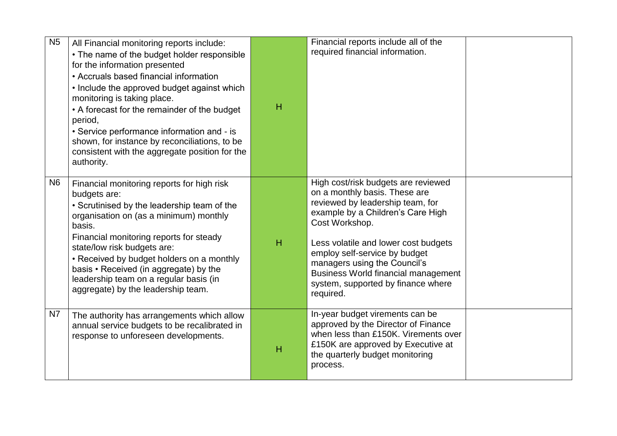| <b>N5</b>      | All Financial monitoring reports include:<br>• The name of the budget holder responsible<br>for the information presented<br>• Accruals based financial information<br>• Include the approved budget against which<br>monitoring is taking place.<br>• A forecast for the remainder of the budget<br>period,<br>• Service performance information and - is<br>shown, for instance by reconciliations, to be<br>consistent with the aggregate position for the<br>authority. | H | Financial reports include all of the<br>required financial information.                                                                                                                                                                                                                                                                                                   |  |
|----------------|-----------------------------------------------------------------------------------------------------------------------------------------------------------------------------------------------------------------------------------------------------------------------------------------------------------------------------------------------------------------------------------------------------------------------------------------------------------------------------|---|---------------------------------------------------------------------------------------------------------------------------------------------------------------------------------------------------------------------------------------------------------------------------------------------------------------------------------------------------------------------------|--|
| N <sub>6</sub> | Financial monitoring reports for high risk<br>budgets are:<br>• Scrutinised by the leadership team of the<br>organisation on (as a minimum) monthly<br>basis.<br>Financial monitoring reports for steady<br>state/low risk budgets are:<br>• Received by budget holders on a monthly<br>basis • Received (in aggregate) by the<br>leadership team on a regular basis (in<br>aggregate) by the leadership team.                                                              | H | High cost/risk budgets are reviewed<br>on a monthly basis. These are<br>reviewed by leadership team, for<br>example by a Children's Care High<br>Cost Workshop.<br>Less volatile and lower cost budgets<br>employ self-service by budget<br>managers using the Council's<br><b>Business World financial management</b><br>system, supported by finance where<br>required. |  |
| N7             | The authority has arrangements which allow<br>annual service budgets to be recalibrated in<br>response to unforeseen developments.                                                                                                                                                                                                                                                                                                                                          | H | In-year budget virements can be<br>approved by the Director of Finance<br>when less than £150K. Virements over<br>£150K are approved by Executive at<br>the quarterly budget monitoring<br>process.                                                                                                                                                                       |  |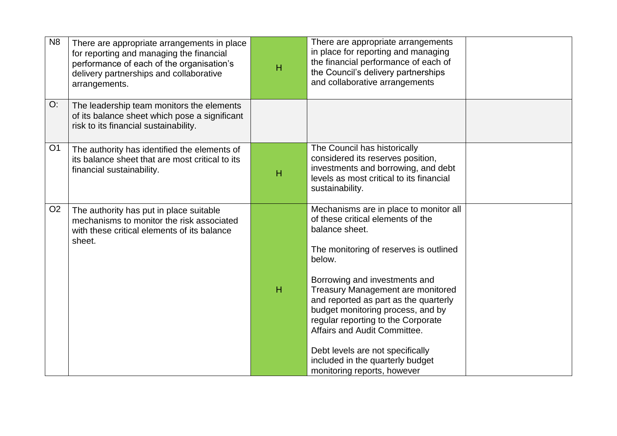| N <sub>8</sub> | There are appropriate arrangements in place<br>for reporting and managing the financial<br>performance of each of the organisation's<br>delivery partnerships and collaborative<br>arrangements. | H | There are appropriate arrangements<br>in place for reporting and managing<br>the financial performance of each of<br>the Council's delivery partnerships<br>and collaborative arrangements                                                                                                                                                                                                                                                                                         |  |
|----------------|--------------------------------------------------------------------------------------------------------------------------------------------------------------------------------------------------|---|------------------------------------------------------------------------------------------------------------------------------------------------------------------------------------------------------------------------------------------------------------------------------------------------------------------------------------------------------------------------------------------------------------------------------------------------------------------------------------|--|
| O:             | The leadership team monitors the elements<br>of its balance sheet which pose a significant<br>risk to its financial sustainability.                                                              |   |                                                                                                                                                                                                                                                                                                                                                                                                                                                                                    |  |
| O <sub>1</sub> | The authority has identified the elements of<br>its balance sheet that are most critical to its<br>financial sustainability.                                                                     | H | The Council has historically<br>considered its reserves position,<br>investments and borrowing, and debt<br>levels as most critical to its financial<br>sustainability.                                                                                                                                                                                                                                                                                                            |  |
| O <sub>2</sub> | The authority has put in place suitable<br>mechanisms to monitor the risk associated<br>with these critical elements of its balance<br>sheet.                                                    | H | Mechanisms are in place to monitor all<br>of these critical elements of the<br>balance sheet.<br>The monitoring of reserves is outlined<br>below.<br>Borrowing and investments and<br>Treasury Management are monitored<br>and reported as part as the quarterly<br>budget monitoring process, and by<br>regular reporting to the Corporate<br>Affairs and Audit Committee.<br>Debt levels are not specifically<br>included in the quarterly budget<br>monitoring reports, however |  |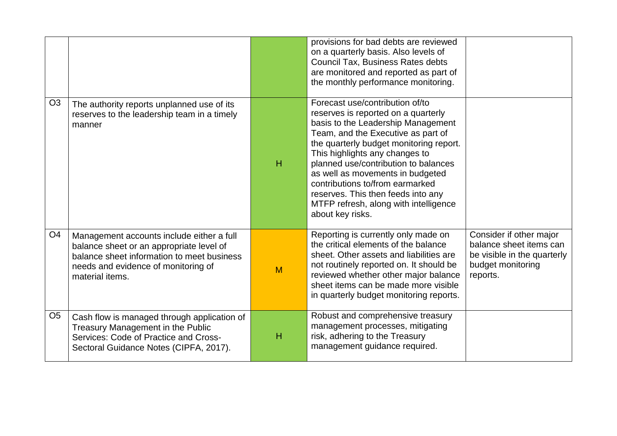|                |                                                                                                                                                                                               |   | provisions for bad debts are reviewed<br>on a quarterly basis. Also levels of<br>Council Tax, Business Rates debts<br>are monitored and reported as part of<br>the monthly performance monitoring.                                                                                                                                                                                                                                                |                                                                                                                    |
|----------------|-----------------------------------------------------------------------------------------------------------------------------------------------------------------------------------------------|---|---------------------------------------------------------------------------------------------------------------------------------------------------------------------------------------------------------------------------------------------------------------------------------------------------------------------------------------------------------------------------------------------------------------------------------------------------|--------------------------------------------------------------------------------------------------------------------|
| O <sub>3</sub> | The authority reports unplanned use of its<br>reserves to the leadership team in a timely<br>manner                                                                                           | H | Forecast use/contribution of/to<br>reserves is reported on a quarterly<br>basis to the Leadership Management<br>Team, and the Executive as part of<br>the quarterly budget monitoring report.<br>This highlights any changes to<br>planned use/contribution to balances<br>as well as movements in budgeted<br>contributions to/from earmarked<br>reserves. This then feeds into any<br>MTFP refresh, along with intelligence<br>about key risks. |                                                                                                                    |
| O <sub>4</sub> | Management accounts include either a full<br>balance sheet or an appropriate level of<br>balance sheet information to meet business<br>needs and evidence of monitoring of<br>material items. | M | Reporting is currently only made on<br>the critical elements of the balance<br>sheet. Other assets and liabilities are<br>not routinely reported on. It should be<br>reviewed whether other major balance<br>sheet items can be made more visible<br>in quarterly budget monitoring reports.                                                                                                                                                      | Consider if other major<br>balance sheet items can<br>be visible in the quarterly<br>budget monitoring<br>reports. |
| O <sub>5</sub> | Cash flow is managed through application of<br>Treasury Management in the Public<br>Services: Code of Practice and Cross-<br>Sectoral Guidance Notes (CIPFA, 2017).                           | н | Robust and comprehensive treasury<br>management processes, mitigating<br>risk, adhering to the Treasury<br>management guidance required.                                                                                                                                                                                                                                                                                                          |                                                                                                                    |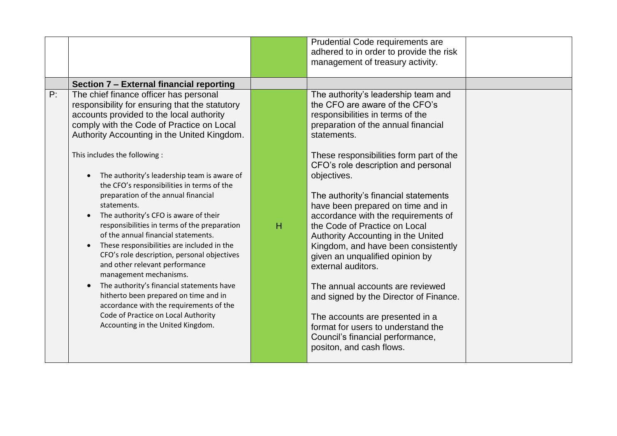|                                                                                                                                                                                                                                                                                                                                                                                                                                                                                                                                                                                                                                                                                                                                                                                                                                                                                                                                         |   | Prudential Code requirements are<br>adhered to in order to provide the risk                                                                                                                                                                                                                                                                                                                                                                                                                                                                                                                                                                                                                                                                                                        |                                  |
|-----------------------------------------------------------------------------------------------------------------------------------------------------------------------------------------------------------------------------------------------------------------------------------------------------------------------------------------------------------------------------------------------------------------------------------------------------------------------------------------------------------------------------------------------------------------------------------------------------------------------------------------------------------------------------------------------------------------------------------------------------------------------------------------------------------------------------------------------------------------------------------------------------------------------------------------|---|------------------------------------------------------------------------------------------------------------------------------------------------------------------------------------------------------------------------------------------------------------------------------------------------------------------------------------------------------------------------------------------------------------------------------------------------------------------------------------------------------------------------------------------------------------------------------------------------------------------------------------------------------------------------------------------------------------------------------------------------------------------------------------|----------------------------------|
|                                                                                                                                                                                                                                                                                                                                                                                                                                                                                                                                                                                                                                                                                                                                                                                                                                                                                                                                         |   |                                                                                                                                                                                                                                                                                                                                                                                                                                                                                                                                                                                                                                                                                                                                                                                    |                                  |
| Section 7 - External financial reporting                                                                                                                                                                                                                                                                                                                                                                                                                                                                                                                                                                                                                                                                                                                                                                                                                                                                                                |   |                                                                                                                                                                                                                                                                                                                                                                                                                                                                                                                                                                                                                                                                                                                                                                                    |                                  |
| The chief finance officer has personal<br>responsibility for ensuring that the statutory<br>accounts provided to the local authority<br>comply with the Code of Practice on Local<br>Authority Accounting in the United Kingdom.<br>This includes the following :<br>The authority's leadership team is aware of<br>the CFO's responsibilities in terms of the<br>preparation of the annual financial<br>statements.<br>The authority's CFO is aware of their<br>responsibilities in terms of the preparation<br>of the annual financial statements.<br>These responsibilities are included in the<br>$\bullet$<br>CFO's role description, personal objectives<br>and other relevant performance<br>management mechanisms.<br>The authority's financial statements have<br>hitherto been prepared on time and in<br>accordance with the requirements of the<br>Code of Practice on Local Authority<br>Accounting in the United Kingdom. | H | The authority's leadership team and<br>the CFO are aware of the CFO's<br>responsibilities in terms of the<br>preparation of the annual financial<br>statements.<br>These responsibilities form part of the<br>CFO's role description and personal<br>objectives.<br>The authority's financial statements<br>have been prepared on time and in<br>accordance with the requirements of<br>the Code of Practice on Local<br>Authority Accounting in the United<br>Kingdom, and have been consistently<br>given an unqualified opinion by<br>external auditors.<br>The annual accounts are reviewed<br>and signed by the Director of Finance.<br>The accounts are presented in a<br>format for users to understand the<br>Council's financial performance,<br>positon, and cash flows. |                                  |
|                                                                                                                                                                                                                                                                                                                                                                                                                                                                                                                                                                                                                                                                                                                                                                                                                                                                                                                                         |   |                                                                                                                                                                                                                                                                                                                                                                                                                                                                                                                                                                                                                                                                                                                                                                                    | management of treasury activity. |